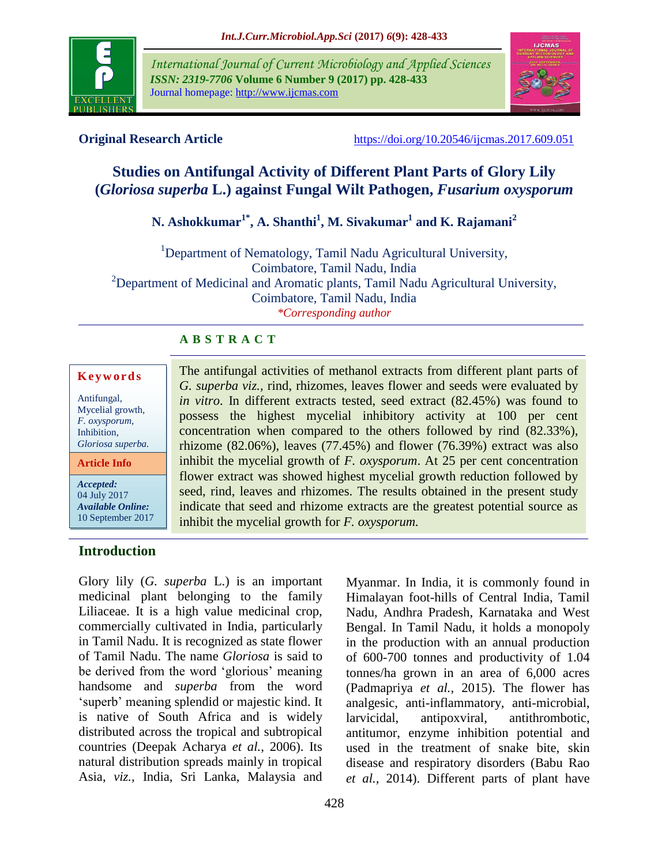

*International Journal of Current Microbiology and Applied Sciences ISSN: 2319-7706* **Volume 6 Number 9 (2017) pp. 428-433** Journal homepage: http://www.ijcmas.com



**Original Research Article** <https://doi.org/10.20546/ijcmas.2017.609.051>

# **Studies on Antifungal Activity of Different Plant Parts of Glory Lily (***Gloriosa superba* **L.) against Fungal Wilt Pathogen,** *Fusarium oxysporum*

# **N. Ashokkumar1\* , A. Shanthi<sup>1</sup> , M. Sivakumar<sup>1</sup> and K. Rajamani<sup>2</sup>**

<sup>1</sup>Department of Nematology, Tamil Nadu Agricultural University, Coimbatore, Tamil Nadu, India <sup>2</sup>Department of Medicinal and Aromatic plants, Tamil Nadu Agricultural University, Coimbatore, Tamil Nadu, India *\*Corresponding author*

inhibit the mycelial growth for *F. oxysporum.*

The antifungal activities of methanol extracts from different plant parts of *G. superba viz.,* rind, rhizomes, leaves flower and seeds were evaluated by *in vitro*. In different extracts tested, seed extract (82.45%) was found to possess the highest mycelial inhibitory activity at 100 per cent concentration when compared to the others followed by rind (82.33%), rhizome (82.06%), leaves (77.45%) and flower (76.39%) extract was also inhibit the mycelial growth of *F. oxysporum*. At 25 per cent concentration flower extract was showed highest mycelial growth reduction followed by seed, rind, leaves and rhizomes. The results obtained in the present study indicate that seed and rhizome extracts are the greatest potential source as

# **A B S T R A C T**

| Keywords          |
|-------------------|
| Antifungal,       |
| Mycelial growth,  |
| F. oxysporum,     |
| Inhibition,       |
| Gloriosa superba. |

**Article Info**

*Accepted:*  04 July 2017 *Available Online:* 10 September 2017

# **Introduction**

Glory lily (*G. superba* L.) is an important medicinal plant belonging to the family Liliaceae. It is a high value medicinal crop, commercially cultivated in India, particularly in Tamil Nadu. It is recognized as state flower of Tamil Nadu. The name *Gloriosa* is said to be derived from the word 'glorious' meaning handsome and *superba* from the word 'superb' meaning splendid or majestic kind. It is native of South Africa and is widely distributed across the tropical and subtropical countries (Deepak Acharya *et al.,* 2006). Its natural distribution spreads mainly in tropical Asia, *viz.,* India, Sri Lanka, Malaysia and

Myanmar. In India, it is commonly found in Himalayan foot-hills of Central India, Tamil Nadu, Andhra Pradesh, Karnataka and West Bengal. In Tamil Nadu, it holds a monopoly in the production with an annual production of 600-700 tonnes and productivity of 1.04 tonnes/ha grown in an area of 6,000 acres (Padmapriya *et al.,* 2015). The flower has analgesic, anti-inflammatory, anti-microbial, larvicidal, antipoxviral, antithrombotic, antitumor, enzyme inhibition potential and used in the treatment of snake bite, skin disease and respiratory disorders (Babu Rao *et al.,* 2014). Different parts of plant have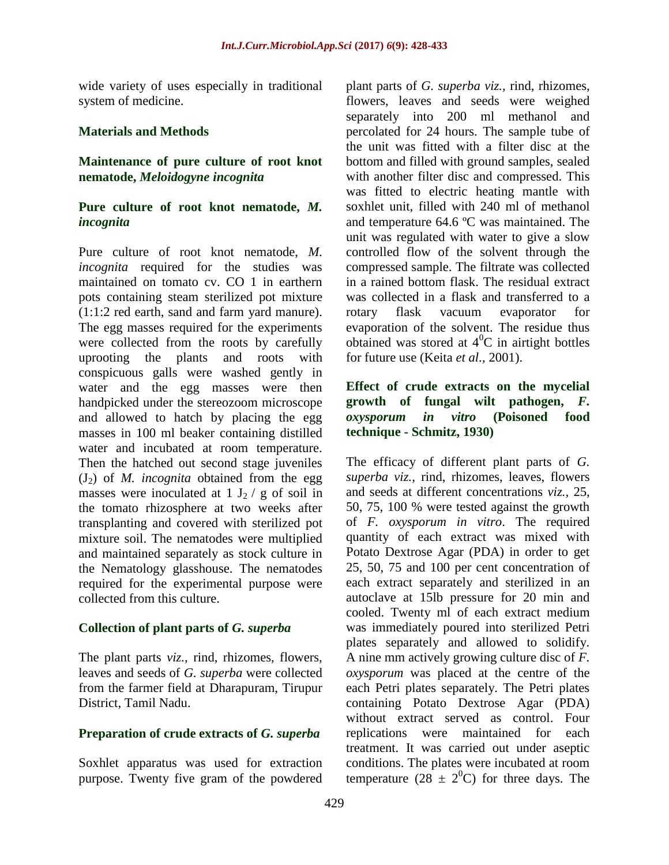wide variety of uses especially in traditional system of medicine.

### **Materials and Methods**

### **Maintenance of pure culture of root knot nematode,** *Meloidogyne incognita*

### **Pure culture of root knot nematode,** *M. incognita*

Pure culture of root knot nematode, *M. incognita* required for the studies was maintained on tomato cv. CO 1 in earthern pots containing steam sterilized pot mixture (1:1:2 red earth, sand and farm yard manure). The egg masses required for the experiments were collected from the roots by carefully uprooting the plants and roots with conspicuous galls were washed gently in water and the egg masses were then handpicked under the stereozoom microscope and allowed to hatch by placing the egg masses in 100 ml beaker containing distilled water and incubated at room temperature. Then the hatched out second stage juveniles  $(J_2)$  of *M. incognita* obtained from the egg masses were inoculated at  $1 J_2 / g$  of soil in the tomato rhizosphere at two weeks after transplanting and covered with sterilized pot mixture soil. The nematodes were multiplied and maintained separately as stock culture in the Nematology glasshouse. The nematodes required for the experimental purpose were collected from this culture.

# **Collection of plant parts of** *G. superba*

The plant parts *viz.,* rind, rhizomes, flowers, leaves and seeds of *G. superba* were collected from the farmer field at Dharapuram, Tirupur District, Tamil Nadu.

#### **Preparation of crude extracts of** *G. superba*

Soxhlet apparatus was used for extraction purpose. Twenty five gram of the powdered

plant parts of *G. superba viz.,* rind, rhizomes, flowers, leaves and seeds were weighed separately into 200 ml methanol and percolated for 24 hours. The sample tube of the unit was fitted with a filter disc at the bottom and filled with ground samples, sealed with another filter disc and compressed. This was fitted to electric heating mantle with soxhlet unit, filled with 240 ml of methanol and temperature 64.6 ºC was maintained. The unit was regulated with water to give a slow controlled flow of the solvent through the compressed sample. The filtrate was collected in a rained bottom flask. The residual extract was collected in a flask and transferred to a rotary flask vacuum evaporator for evaporation of the solvent. The residue thus obtained was stored at  $4^{\circ}$ C in airtight bottles for future use (Keita *et al.,* 2001).

## **Effect of crude extracts on the mycelial growth of fungal wilt pathogen,** *F. oxysporum in vitro* **(Poisoned food technique - Schmitz, 1930)**

The efficacy of different plant parts of *G. superba viz.,* rind, rhizomes, leaves, flowers and seeds at different concentrations *viz.,* 25, 50, 75, 100 % were tested against the growth of *F. oxysporum in vitro*. The required quantity of each extract was mixed with Potato Dextrose Agar (PDA) in order to get 25, 50, 75 and 100 per cent concentration of each extract separately and sterilized in an autoclave at 15lb pressure for 20 min and cooled. Twenty ml of each extract medium was immediately poured into sterilized Petri plates separately and allowed to solidify. A nine mm actively growing culture disc of *F. oxysporum* was placed at the centre of the each Petri plates separately. The Petri plates containing Potato Dextrose Agar (PDA) without extract served as control. Four replications were maintained for each treatment. It was carried out under aseptic conditions. The plates were incubated at room temperature (28  $\pm$  2<sup>0</sup>C) for three days. The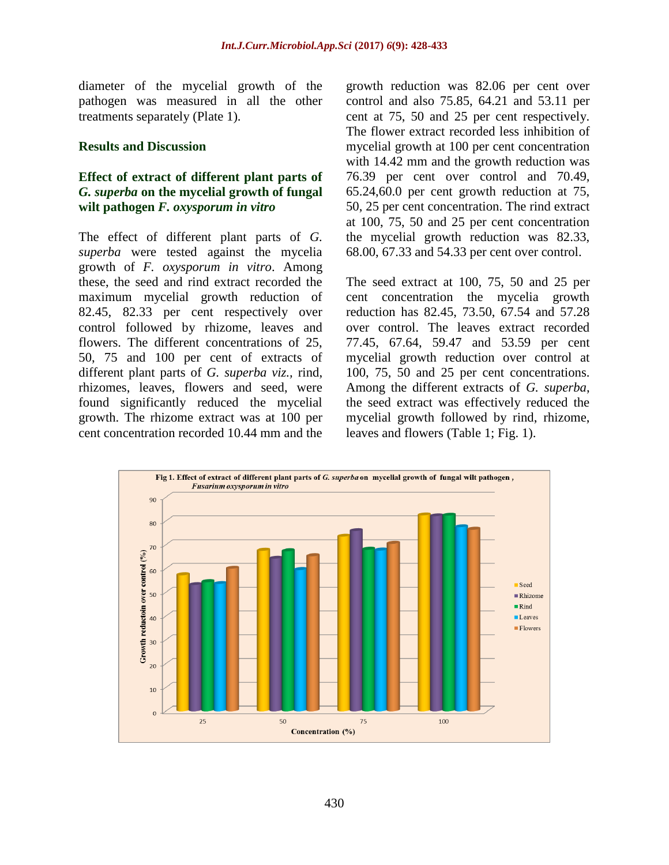diameter of the mycelial growth of the pathogen was measured in all the other treatments separately (Plate 1).

#### **Results and Discussion**

## **Effect of extract of different plant parts of**  *G. superba* **on the mycelial growth of fungal wilt pathogen** *F. oxysporum in vitro*

The effect of different plant parts of *G. superba* were tested against the mycelia growth of *F. oxysporum in vitro*. Among these, the seed and rind extract recorded the maximum mycelial growth reduction of 82.45, 82.33 per cent respectively over control followed by rhizome, leaves and flowers. The different concentrations of 25, 50, 75 and 100 per cent of extracts of different plant parts of *G. superba viz.,* rind, rhizomes, leaves, flowers and seed, were found significantly reduced the mycelial growth. The rhizome extract was at 100 per cent concentration recorded 10.44 mm and the

growth reduction was 82.06 per cent over control and also 75.85, 64.21 and 53.11 per cent at 75, 50 and 25 per cent respectively. The flower extract recorded less inhibition of mycelial growth at 100 per cent concentration with 14.42 mm and the growth reduction was 76.39 per cent over control and 70.49, 65.24,60.0 per cent growth reduction at 75, 50, 25 per cent concentration. The rind extract at 100, 75, 50 and 25 per cent concentration the mycelial growth reduction was 82.33, 68.00, 67.33 and 54.33 per cent over control.

The seed extract at 100, 75, 50 and 25 per cent concentration the mycelia growth reduction has 82.45, 73.50, 67.54 and 57.28 over control. The leaves extract recorded 77.45, 67.64, 59.47 and 53.59 per cent mycelial growth reduction over control at 100, 75, 50 and 25 per cent concentrations. Among the different extracts of *G. superba*, the seed extract was effectively reduced the mycelial growth followed by rind, rhizome, leaves and flowers (Table 1; Fig. 1).

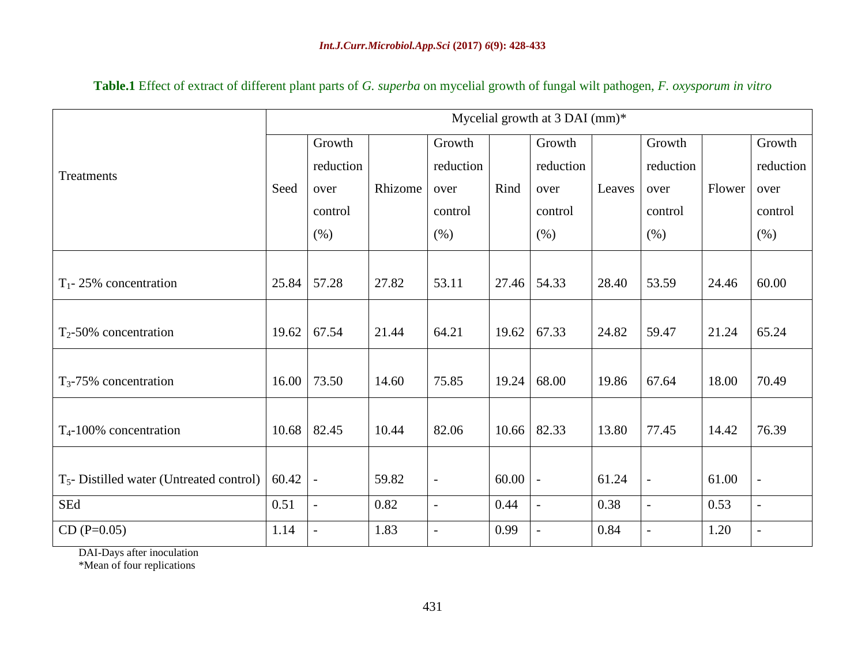|                                            | Mycelial growth at $3$ DAI (mm)* |                          |         |                          |       |                          |        |                |        |                          |
|--------------------------------------------|----------------------------------|--------------------------|---------|--------------------------|-------|--------------------------|--------|----------------|--------|--------------------------|
| Treatments                                 |                                  | Growth                   |         | Growth                   |       | Growth                   |        | Growth         |        | Growth                   |
|                                            |                                  | reduction                |         | reduction                |       | reduction                |        | reduction      |        | reduction                |
|                                            | Seed                             | over                     | Rhizome | over                     | Rind  | over                     | Leaves | over           | Flower | over                     |
|                                            |                                  | control                  |         | control                  |       | control                  |        | control        |        | control                  |
|                                            |                                  | (% )                     |         | (% )                     |       | (% )                     |        | (% )           |        | (% )                     |
|                                            |                                  |                          |         |                          |       |                          |        |                |        |                          |
| $T_1$ - 25% concentration                  | 25.84                            | 57.28                    | 27.82   | 53.11                    | 27.46 | 54.33                    | 28.40  | 53.59          | 24.46  | 60.00                    |
|                                            |                                  |                          |         |                          |       |                          |        |                |        |                          |
| $T_2$ -50% concentration                   | 19.62                            | 67.54                    | 21.44   | 64.21                    | 19.62 | 67.33                    | 24.82  | 59.47          | 21.24  | 65.24                    |
|                                            |                                  |                          |         |                          |       |                          |        |                |        |                          |
| $T_3$ -75% concentration                   | 16.00                            | 73.50                    | 14.60   | 75.85                    | 19.24 | 68.00                    | 19.86  | 67.64          | 18.00  | 70.49                    |
|                                            |                                  |                          |         |                          |       |                          |        |                |        |                          |
| $T_{4}$ -100% concentration                | 10.68                            | 82.45                    | 10.44   | 82.06                    | 10.66 | 82.33                    | 13.80  | 77.45          | 14.42  | 76.39                    |
|                                            |                                  |                          |         |                          |       |                          |        |                |        |                          |
| $T5$ - Distilled water (Untreated control) | 60.42                            |                          | 59.82   | $\overline{\phantom{a}}$ | 60.00 | $\overline{\phantom{a}}$ | 61.24  | $\overline{a}$ | 61.00  | $\overline{\phantom{a}}$ |
| SEd                                        | 0.51                             | $\overline{\phantom{a}}$ | 0.82    | $\overline{\phantom{a}}$ | 0.44  | $\blacksquare$           | 0.38   | $\overline{a}$ | 0.53   | $\overline{\phantom{a}}$ |
| $CD(P=0.05)$                               | 1.14                             | $\overline{\phantom{a}}$ | 1.83    | $\overline{\phantom{a}}$ | 0.99  | $\overline{\phantom{a}}$ | 0.84   | $\overline{a}$ | 1.20   | $\overline{a}$           |

**Table.1** Effect of extract of different plant parts of *G. superba* on mycelial growth of fungal wilt pathogen, *F. oxysporum in vitro*

DAI-Days after inoculation

\*Mean of four replications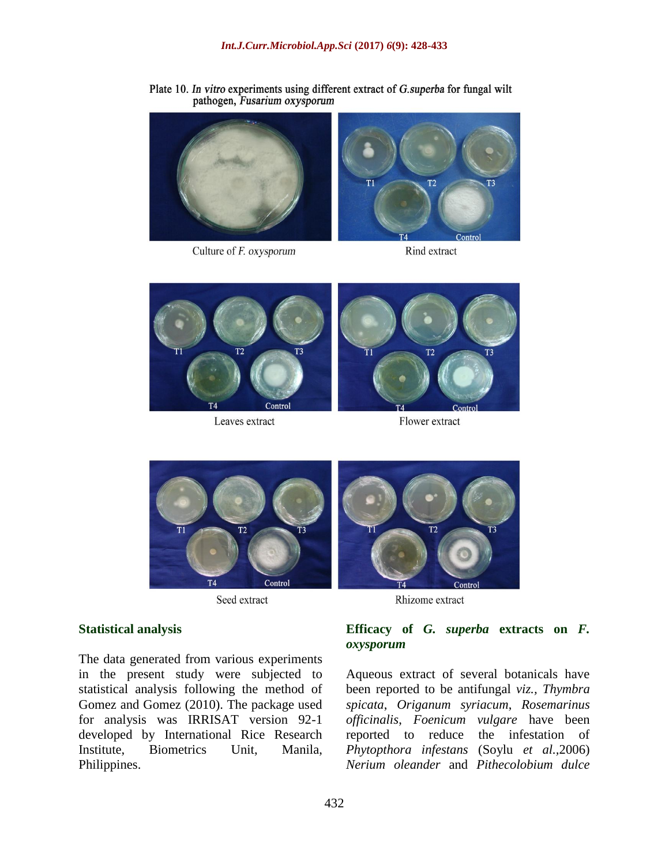Plate 10. In vitro experiments using different extract of G.superba for fungal wilt pathogen, Fusarium oxysporum



Culture of F. oxysporum

Rind extract



Leaves extract

Flower extract



Seed extract

#### **Statistical analysis**

The data generated from various experiments in the present study were subjected to statistical analysis following the method of Gomez and Gomez (2010). The package used for analysis was IRRISAT version 92-1 developed by International Rice Research Institute, Biometrics Unit, Manila, Philippines.



## **Efficacy of** *G. superba* **extracts on** *F. oxysporum*

Aqueous extract of several botanicals have been reported to be antifungal *viz., Thymbra spicata*, *Origanum syriacum*, *Rosemarinus officinalis*, *Foenicum vulgare* have been reported to reduce the infestation of *Phytopthora infestans* (Soylu *et al.,*2006) *Nerium oleander* and *Pithecolobium dulce*